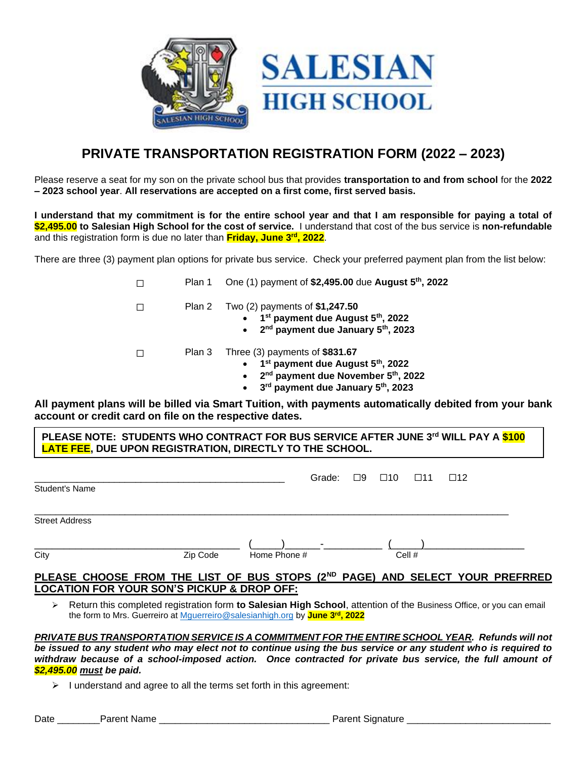



# **PRIVATE TRANSPORTATION REGISTRATION FORM (2022 – 2023)**

Please reserve a seat for my son on the private school bus that provides **transportation to and from school** for the **2022 – 2023 school year**. **All reservations are accepted on a first come, first served basis.**

**I understand that my commitment is for the entire school year and that I am responsible for paying a total of \$2,495.00 to Salesian High School for the cost of service.** I understand that cost of the bus service is **non-refundable** and this registration form is due no later than **Friday, June 3rd, 2022**.

There are three (3) payment plan options for private bus service. Check your preferred payment plan from the list below:

- ☐ Plan 1 One (1) payment of **\$2,495.00** due **August 5th, 2022** ☐ Plan 2 Two (2) payments of **\$1,247.50** • **1 st payment due August 5th, 2022** • **2 nd payment due January 5th, 2023** ☐ Plan 3 Three (3) payments of **\$831.67** • **1 st payment due August 5th, 2022** • **2 nd payment due November 5th, 2022**
	- **3 rd payment due January 5th, 2023**

**All payment plans will be billed via Smart Tuition, with payments automatically debited from your bank account or credit card on file on the respective dates.**

| │ PLEASE NOTE:  STUDENTS WHO CONTRACT FOR BUS SERVICE AFTER JUNE 3 <sup>rd</sup> WILL PAY A <mark>\$100</mark> |  |
|----------------------------------------------------------------------------------------------------------------|--|
| LATE FEE, DUE UPON REGISTRATION, DIRECTLY TO THE SCHOOL.                                                       |  |
|                                                                                                                |  |

|                       |          |              |                          | Grade: 09 010 011 012 |        |  |
|-----------------------|----------|--------------|--------------------------|-----------------------|--------|--|
| Student's Name        |          |              |                          |                       |        |  |
|                       |          |              |                          |                       |        |  |
| <b>Street Address</b> |          |              |                          |                       |        |  |
|                       |          |              | $\overline{\phantom{0}}$ |                       |        |  |
| City                  | Zip Code | Home Phone # |                          |                       | Cell # |  |

#### **PLEASE CHOOSE FROM THE LIST OF BUS STOPS (2ND PAGE) AND SELECT YOUR PREFRRED LOCATION FOR YOUR SON'S PICKUP & DROP OFF:**

➢ Return this completed registration form **to Salesian High School**, attention of the Business Office, or you can email the form to Mrs. Guerreiro at [Mguerreiro@salesianhigh.org](mailto:Mguerreiro@salesianhigh.org) by **June 3rd, 2022**

*PRIVATE BUS TRANSPORTATION SERVICE IS A COMMITMENT FOR THE ENTIRE SCHOOL YEAR. Refunds will not be issued to any student who may elect not to continue using the bus service or any student who is required to withdraw because of a school-imposed action. Once contracted for private bus service, the full amount of \$2,495.00 must be paid.* 

 $\triangleright$  I understand and agree to all the terms set forth in this agreement: